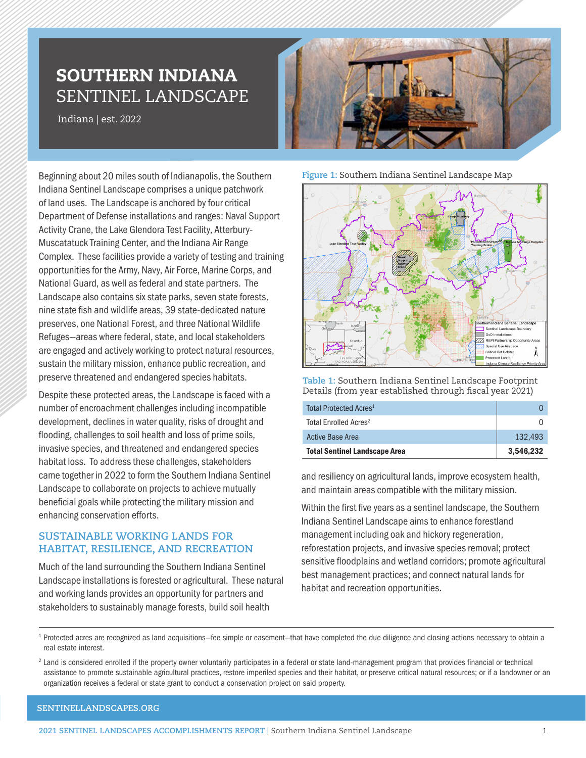## SOUTHERN INDIANA SENTINEL LANDSCAPE

Indiana | est. 2022

Beginning about 20 miles south of Indianapolis, the Southern Indiana Sentinel Landscape comprises a unique patchwork of land uses. The Landscape is anchored by four critical Department of Defense installations and ranges: Naval Support Activity Crane, the Lake Glendora Test Facility, Atterbury-Muscatatuck Training Center, and the Indiana Air Range Complex. These facilities provide a variety of testing and training opportunities for the Army, Navy, Air Force, Marine Corps, and National Guard, as well as federal and state partners. The Landscape also contains six state parks, seven state forests, nine state fish and wildlife areas, 39 state-dedicated nature preserves, one National Forest, and three National Wildlife Refuges—areas where federal, state, and local stakeholders are engaged and actively working to protect natural resources, sustain the military mission, enhance public recreation, and preserve threatened and endangered species habitats.

Despite these protected areas, the Landscape is faced with a number of encroachment challenges including incompatible development, declines in water quality, risks of drought and flooding, challenges to soil health and loss of prime soils, invasive species, and threatened and endangered species habitat loss. To address these challenges, stakeholders came together in 2022 to form the Southern Indiana Sentinel Landscape to collaborate on projects to achieve mutually beneficial goals while protecting the military mission and enhancing conservation efforts.

## **SUSTAINABLE WORKING LANDS FOR HABITAT, RESILIENCE, AND RECREATION**

Much of the land surrounding the Southern Indiana Sentinel Landscape installations is forested or agricultural. These natural and working lands provides an opportunity for partners and stakeholders to sustainably manage forests, build soil health



**Figure 1:** Southern Indiana Sentinel Landscape Map



**Table 1:** Southern Indiana Sentinel Landscape Footprint Details (from year established through fiscal year 2021)

| Total Protected Acres <sup>1</sup>   |           |
|--------------------------------------|-----------|
| Total Enrolled Acres <sup>2</sup>    |           |
| <b>Active Base Area</b>              | 132.493   |
| <b>Total Sentinel Landscape Area</b> | 3.546.232 |

and resiliency on agricultural lands, improve ecosystem health, and maintain areas compatible with the military mission.

Within the first five years as a sentinel landscape, the Southern Indiana Sentinel Landscape aims to enhance forestland management including oak and hickory regeneration, reforestation projects, and invasive species removal; protect sensitive floodplains and wetland corridors; promote agricultural best management practices; and connect natural lands for habitat and recreation opportunities.

<sup>&</sup>lt;sup>1</sup> Protected acres are recognized as land acquisitions–fee simple or easement–that have completed the due diligence and closing actions necessary to obtain a real estate interest.

<sup>&</sup>lt;sup>2</sup> Land is considered enrolled if the property owner voluntarily participates in a federal or state land-management program that provides financial or technical assistance to promote sustainable agricultural practices, restore imperiled species and their habitat, or preserve critical natural resources; or if a landowner or an organization receives a federal or state grant to conduct a conservation project on said property.